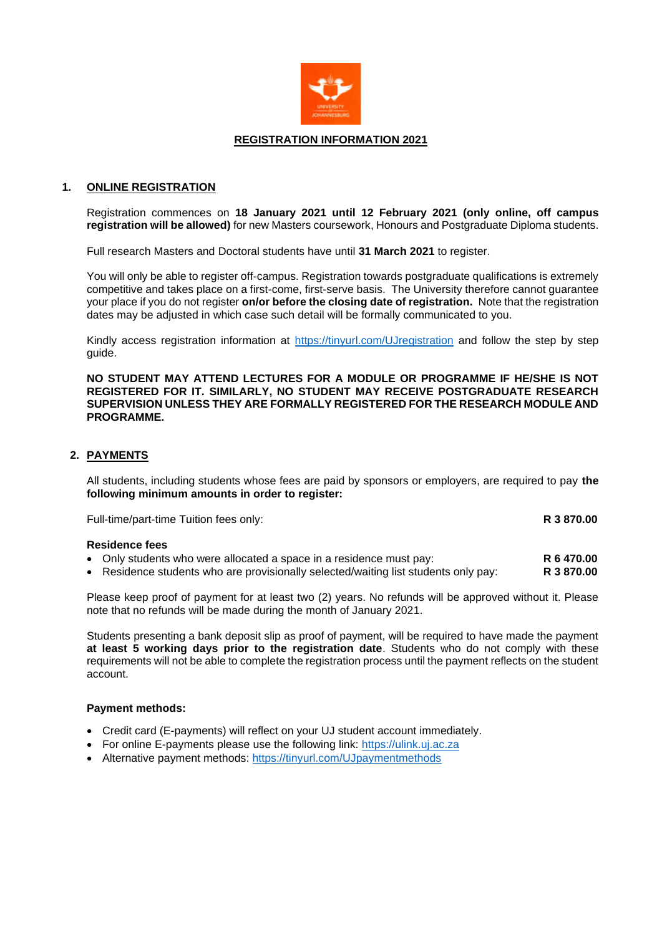

#### **REGISTRATION INFORMATION 2021**

### **1. ONLINE REGISTRATION**

Registration commences on **18 January 2021 until 12 February 2021 (only online, off campus registration will be allowed)** for new Masters coursework, Honours and Postgraduate Diploma students.

Full research Masters and Doctoral students have until **31 March 2021** to register.

You will only be able to register off-campus. Registration towards postgraduate qualifications is extremely competitive and takes place on a first-come, first-serve basis. The University therefore cannot guarantee your place if you do not register **on/or before the closing date of registration.** Note that the registration dates may be adjusted in which case such detail will be formally communicated to you.

Kindly access registration information at<https://tinyurl.com/UJregistration> and follow the step by step guide.

**NO STUDENT MAY ATTEND LECTURES FOR A MODULE OR PROGRAMME IF HE/SHE IS NOT REGISTERED FOR IT. SIMILARLY, NO STUDENT MAY RECEIVE POSTGRADUATE RESEARCH SUPERVISION UNLESS THEY ARE FORMALLY REGISTERED FOR THE RESEARCH MODULE AND PROGRAMME.** 

### **2. PAYMENTS**

All students, including students whose fees are paid by sponsors or employers, are required to pay **the following minimum amounts in order to register:**

Full-time/part-time Tuition fees only: **R 3 870.00**

#### **Residence fees**

- Only students who were allocated a space in a residence must pay: **R 6 470.00**
- Residence students who are provisionally selected/waiting list students only pay: **R 3 870.00**

Please keep proof of payment for at least two (2) years. No refunds will be approved without it. Please note that no refunds will be made during the month of January 2021.

Students presenting a bank deposit slip as proof of payment, will be required to have made the payment **at least 5 working days prior to the registration date**. Students who do not comply with these requirements will not be able to complete the registration process until the payment reflects on the student account.

#### **Payment methods:**

- Credit card (E-payments) will reflect on your UJ student account immediately.
- For online E-payments please use the following link: [https://ulink.uj.ac.za](https://ulink.uj.ac.za/)
- Alternative payment methods: https://tinyurl.com/UJpaymentmethods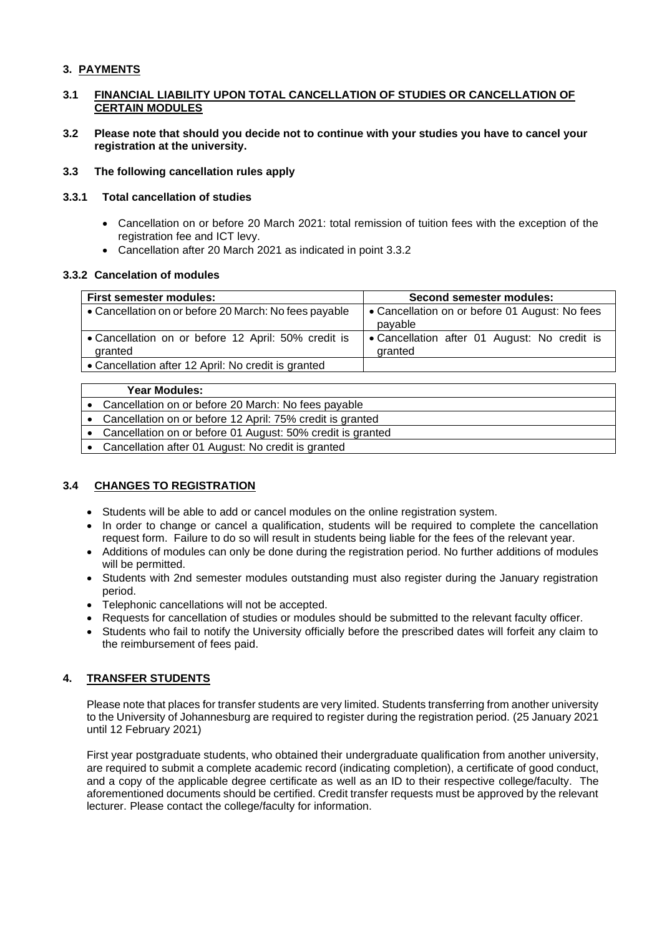# **3. PAYMENTS**

## **3.1 FINANCIAL LIABILITY UPON TOTAL CANCELLATION OF STUDIES OR CANCELLATION OF CERTAIN MODULES**

**3.2 Please note that should you decide not to continue with your studies you have to cancel your registration at the university.** 

### **3.3 The following cancellation rules apply**

### **3.3.1 Total cancellation of studies**

- Cancellation on or before 20 March 2021: total remission of tuition fees with the exception of the registration fee and ICT levy.
- Cancellation after 20 March 2021 as indicated in point 3.3.2

## **3.3.2 Cancelation of modules**

| <b>First semester modules:</b>                                 | <b>Second semester modules:</b>                           |  |  |
|----------------------------------------------------------------|-----------------------------------------------------------|--|--|
| • Cancellation on or before 20 March: No fees payable          | • Cancellation on or before 01 August: No fees<br>payable |  |  |
| • Cancellation on or before 12 April: 50% credit is<br>granted | • Cancellation after 01 August: No credit is<br>granted   |  |  |
| • Cancellation after 12 April: No credit is granted            |                                                           |  |  |

|           | <b>Year Modules:</b>                                       |
|-----------|------------------------------------------------------------|
|           | Cancellation on or before 20 March: No fees payable        |
| $\bullet$ | Cancellation on or before 12 April: 75% credit is granted  |
| $\bullet$ | Cancellation on or before 01 August: 50% credit is granted |
| $\bullet$ | Cancellation after 01 August: No credit is granted         |

## **3.4 CHANGES TO REGISTRATION**

- Students will be able to add or cancel modules on the online registration system.
- In order to change or cancel a qualification, students will be required to complete the cancellation request form. Failure to do so will result in students being liable for the fees of the relevant year.
- Additions of modules can only be done during the registration period. No further additions of modules will be permitted.
- Students with 2nd semester modules outstanding must also register during the January registration period.
- Telephonic cancellations will not be accepted.
- Requests for cancellation of studies or modules should be submitted to the relevant faculty officer.
- Students who fail to notify the University officially before the prescribed dates will forfeit any claim to the reimbursement of fees paid.

# **4. TRANSFER STUDENTS**

Please note that places for transfer students are very limited. Students transferring from another university to the University of Johannesburg are required to register during the registration period. (25 January 2021 until 12 February 2021)

First year postgraduate students, who obtained their undergraduate qualification from another university, are required to submit a complete academic record (indicating completion), a certificate of good conduct, and a copy of the applicable degree certificate as well as an ID to their respective college/faculty. The aforementioned documents should be certified. Credit transfer requests must be approved by the relevant lecturer. Please contact the college/faculty for information.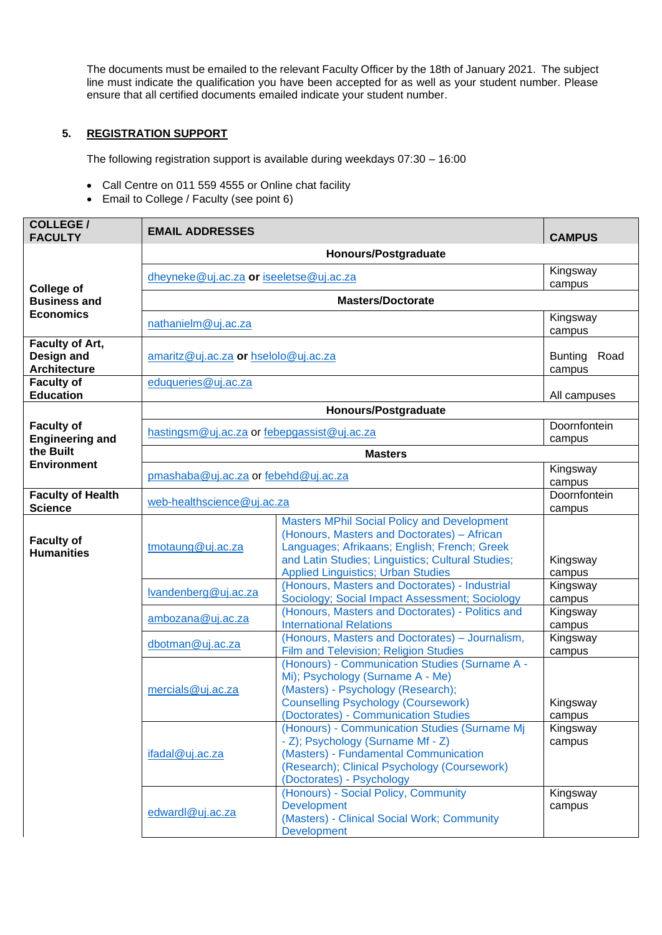The documents must be emailed to the relevant Faculty Officer by the 18th of January 2021. The subject line must indicate the qualification you have been accepted for as well as your student number. Please ensure that all certified documents emailed indicate your student number.

# **5. REGISTRATION SUPPORT**

The following registration support is available during weekdays 07:30 – 16:00

- Call Centre on 011 559 4555 or Online chat facility
- Email to College / Faculty (see point 6)

| <b>COLLEGE/</b><br><b>FACULTY</b>                    | <b>EMAIL ADDRESSES</b>                      |                                                                                                                                                                                                                                                     | <b>CAMPUS</b>                    |  |
|------------------------------------------------------|---------------------------------------------|-----------------------------------------------------------------------------------------------------------------------------------------------------------------------------------------------------------------------------------------------------|----------------------------------|--|
|                                                      | Honours/Postgraduate                        |                                                                                                                                                                                                                                                     |                                  |  |
| <b>College of</b>                                    | dheyneke@uj.ac.za or iseeletse@uj.ac.za     |                                                                                                                                                                                                                                                     | Kingsway<br>campus               |  |
| <b>Business and</b>                                  | <b>Masters/Doctorate</b>                    |                                                                                                                                                                                                                                                     |                                  |  |
| <b>Economics</b>                                     | nathanielm@uj.ac.za                         |                                                                                                                                                                                                                                                     | Kingsway<br>campus               |  |
| Faculty of Art,<br>Design and<br><b>Architecture</b> | amaritz@uj.ac.za or hselolo@uj.ac.za        |                                                                                                                                                                                                                                                     | Road<br><b>Bunting</b><br>campus |  |
| <b>Faculty of</b><br><b>Education</b>                | eduqueries@uj.ac.za                         |                                                                                                                                                                                                                                                     | All campuses                     |  |
|                                                      |                                             | Honours/Postgraduate                                                                                                                                                                                                                                |                                  |  |
| <b>Faculty of</b><br><b>Engineering and</b>          | hastingsm@uj.ac.za or febepgassist@uj.ac.za |                                                                                                                                                                                                                                                     | Doornfontein<br>campus           |  |
| the Built<br><b>Environment</b>                      |                                             |                                                                                                                                                                                                                                                     |                                  |  |
|                                                      | pmashaba@uj.ac.za or febehd@uj.ac.za        |                                                                                                                                                                                                                                                     | Kingsway                         |  |
| <b>Faculty of Health</b><br><b>Science</b>           | web-healthscience@uj.ac.za                  |                                                                                                                                                                                                                                                     | campus<br>Doornfontein<br>campus |  |
| <b>Faculty of</b><br><b>Humanities</b>               | $t$ motaung@uj.ac.za                        | <b>Masters MPhil Social Policy and Development</b><br>(Honours, Masters and Doctorates) - African<br>Languages; Afrikaans; English; French; Greek<br>and Latin Studies; Linguistics; Cultural Studies;<br><b>Applied Linguistics; Urban Studies</b> | Kingsway<br>campus               |  |
|                                                      | lvandenberg@uj.ac.za                        | (Honours, Masters and Doctorates) - Industrial<br>Sociology; Social Impact Assessment; Sociology                                                                                                                                                    | Kingsway<br>campus               |  |
|                                                      | ambozana@uj.ac.za                           | (Honours, Masters and Doctorates) - Politics and<br><b>International Relations</b>                                                                                                                                                                  | Kingsway<br>campus               |  |
|                                                      | dbotman@uj.ac.za                            | (Honours, Masters and Doctorates) - Journalism,<br>Film and Television; Religion Studies                                                                                                                                                            | Kingsway<br>campus               |  |
|                                                      | mercials@uj.ac.za                           | (Honours) - Communication Studies (Surname A -<br>Mi); Psychology (Surname A - Me)<br>(Masters) - Psychology (Research);<br><b>Counselling Psychology (Coursework)</b><br>(Doctorates) - Communication Studies                                      | Kingsway<br>campus               |  |
|                                                      | ifadal@uj.ac.za                             | (Honours) - Communication Studies (Surname Mj<br>- Z); Psychology (Surname Mf - Z)<br>(Masters) - Fundamental Communication<br>(Research); Clinical Psychology (Coursework)<br>(Doctorates) - Psychology                                            | Kingsway<br>campus               |  |
|                                                      | edwardl@uj.ac.za                            | (Honours) - Social Policy, Community<br><b>Development</b><br>(Masters) - Clinical Social Work; Community<br><b>Development</b>                                                                                                                     | Kingsway<br>campus               |  |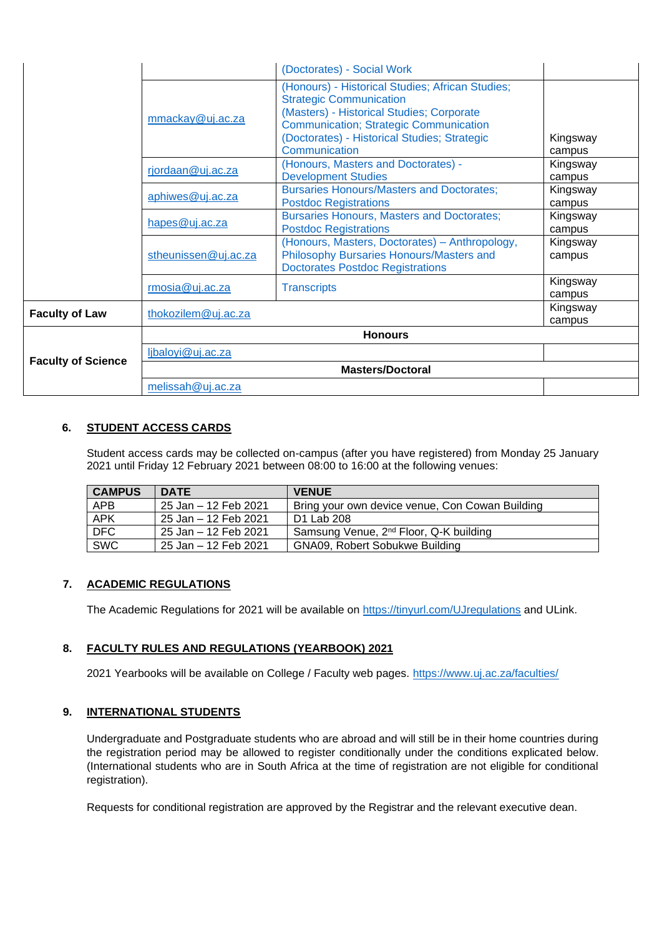|                           |                                           | (Doctorates) - Social Work                                                                                                                                                                                                                        |                    |
|---------------------------|-------------------------------------------|---------------------------------------------------------------------------------------------------------------------------------------------------------------------------------------------------------------------------------------------------|--------------------|
|                           | mmackay@uj.ac.za                          | (Honours) - Historical Studies; African Studies;<br><b>Strategic Communication</b><br>(Masters) - Historical Studies; Corporate<br><b>Communication; Strategic Communication</b><br>(Doctorates) - Historical Studies; Strategic<br>Communication | Kingsway<br>campus |
|                           | rjordaan@uj.ac.za                         | (Honours, Masters and Doctorates) -<br><b>Development Studies</b>                                                                                                                                                                                 | Kingsway<br>campus |
|                           | aphiwes@uj.ac.za                          | <b>Bursaries Honours/Masters and Doctorates;</b><br><b>Postdoc Registrations</b>                                                                                                                                                                  | Kingsway<br>campus |
|                           | hapes@uj.ac.za                            | <b>Bursaries Honours, Masters and Doctorates;</b><br><b>Postdoc Registrations</b>                                                                                                                                                                 | Kingsway<br>campus |
|                           | stheunissen@uj.ac.za                      | (Honours, Masters, Doctorates) - Anthropology,<br>Philosophy Bursaries Honours/Masters and<br><b>Doctorates Postdoc Registrations</b>                                                                                                             | Kingsway<br>campus |
|                           | rmosia@uj.ac.za                           | <b>Transcripts</b>                                                                                                                                                                                                                                | Kingsway<br>campus |
| <b>Faculty of Law</b>     | Kingsway<br>thokozilem@uj.ac.za<br>campus |                                                                                                                                                                                                                                                   |                    |
|                           | <b>Honours</b>                            |                                                                                                                                                                                                                                                   |                    |
|                           | ljbaloyi@uj.ac.za                         |                                                                                                                                                                                                                                                   |                    |
| <b>Faculty of Science</b> | <b>Masters/Doctoral</b>                   |                                                                                                                                                                                                                                                   |                    |
|                           | melissah@uj.ac.za                         |                                                                                                                                                                                                                                                   |                    |

# **6. STUDENT ACCESS CARDS**

Student access cards may be collected on-campus (after you have registered) from Monday 25 January 2021 until Friday 12 February 2021 between 08:00 to 16:00 at the following venues:

| <b>CAMPUS</b> | <b>DATE</b>          | <b>VENUE</b>                                       |
|---------------|----------------------|----------------------------------------------------|
| <b>APB</b>    | 25 Jan - 12 Feb 2021 | Bring your own device venue, Con Cowan Building    |
| <b>APK</b>    | 25 Jan – 12 Feb 2021 | D1 Lab 208                                         |
| DFC           | 25 Jan - 12 Feb 2021 | Samsung Venue, 2 <sup>nd</sup> Floor, Q-K building |
| <b>SWC</b>    | 25 Jan – 12 Feb 2021 | GNA09, Robert Sobukwe Building                     |

## **7. ACADEMIC REGULATIONS**

The Academic Regulations for 2021 will be available on<https://tinyurl.com/UJregulations> and ULink.

## **8. FACULTY RULES AND REGULATIONS (YEARBOOK) 2021**

2021 Yearbooks will be available on College / Faculty web pages.<https://www.uj.ac.za/faculties/>

#### **9. INTERNATIONAL STUDENTS**

Undergraduate and Postgraduate students who are abroad and will still be in their home countries during the registration period may be allowed to register conditionally under the conditions explicated below. (International students who are in South Africa at the time of registration are not eligible for conditional registration).

Requests for conditional registration are approved by the Registrar and the relevant executive dean.